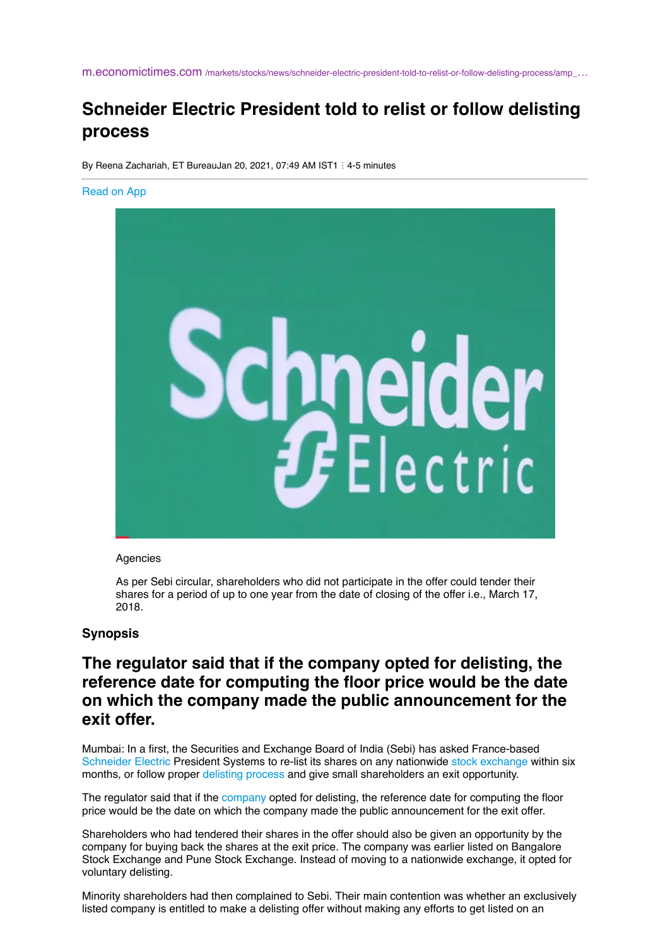m.economictimes.com [/markets/stocks/news/schneider-electric-president-told-to-relist-or-follow-delisting-process/amp\\_](https://m.economictimes.com/markets/stocks/news/schneider-electric-president-told-to-relist-or-follow-delisting-process/amp_articleshow/80357065.cms)…

# **Schneider Electric President told to relist or follow delisting process**

By Reena Zachariah, ET BureauJan 20, 2021, 07:49 AM IST1 : 4-5 minutes

#### [Read on App](https://etmarketapps.page.link/?link=https://m.economictimes.com/markets/stocks/news/schneider-electric-president-told-to-relist-or-follow-delisting-process/articleshow/80357065.cms&apn=com.et.market&isi=895812527&ibi=com.til.etmarket.iphone&efr=1&utm_campaign=floating_amp_markets_articleshow&utm_medium=AMP&utm_source=floating_amp_markets_articleshow)



#### Agencies

As per Sebi circular, shareholders who did not participate in the offer could tender their shares for a period of up to one year from the date of closing of the offer i.e., March 17, 2018.

#### **Synopsis**

## **The regulator said that if the company opted for delisting, the reference date for computing the floor price would be the date on which the company made the public announcement for the exit offer.**

Mumbai: In a first, the Securities and Exchange Board of India (Sebi) has asked France-based [Schneider Electric](https://m.economictimes.com/topic/Schneider-Electric) President Systems to re-list its shares on any nationwide [stock exchange](https://m.economictimes.com/topic/stock-exchange) within six months, or follow proper [delisting process](https://m.economictimes.com/topic/delisting-process) and give small shareholders an exit opportunity.

The regulator said that if the [company](https://m.economictimes.com/topic/company) opted for delisting, the reference date for computing the floor price would be the date on which the company made the public announcement for the exit offer.

Shareholders who had tendered their shares in the offer should also be given an opportunity by the company for buying back the shares at the exit price. The company was earlier listed on Bangalore Stock Exchange and Pune Stock Exchange. Instead of moving to a nationwide exchange, it opted for voluntary delisting.

Minority shareholders had then complained to Sebi. Their main contention was whether an exclusively listed company is entitled to make a delisting offer without making any efforts to get listed on an